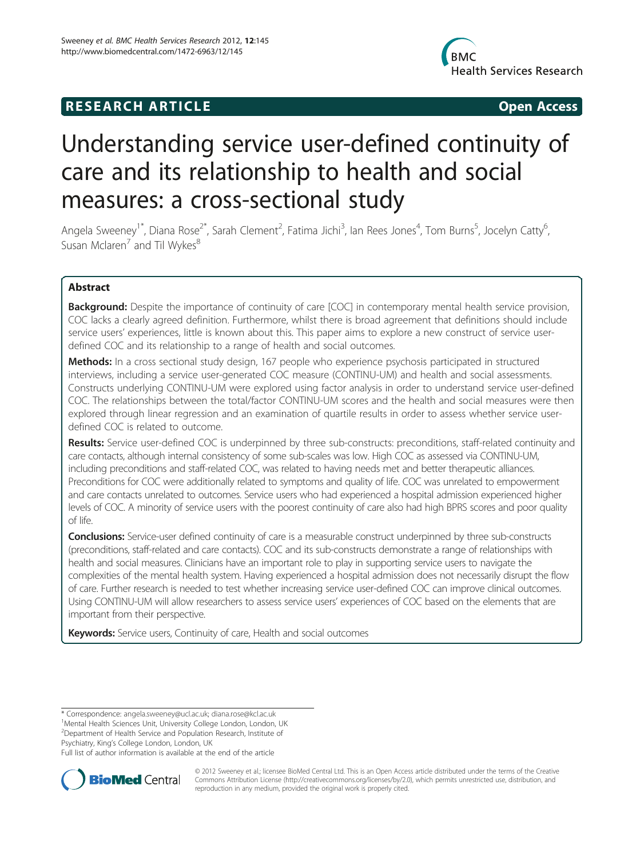# **RESEARCH ARTICLE CONSUMING A RESEARCH ARTICLE**



# Understanding service user-defined continuity of care and its relationship to health and social measures: a cross-sectional study

Angela Sweeney<sup>1\*</sup>, Diana Rose<sup>2\*</sup>, Sarah Clement<sup>2</sup>, Fatima Jichi<sup>3</sup>, Ian Rees Jones<sup>4</sup>, Tom Burns<sup>5</sup>, Jocelyn Catty<sup>6</sup> , Susan Mclaren $^7$  and Til Wykes $^8$ 

# Abstract

**Background:** Despite the importance of continuity of care [COC] in contemporary mental health service provision, COC lacks a clearly agreed definition. Furthermore, whilst there is broad agreement that definitions should include service users' experiences, little is known about this. This paper aims to explore a new construct of service userdefined COC and its relationship to a range of health and social outcomes.

Methods: In a cross sectional study design, 167 people who experience psychosis participated in structured interviews, including a service user-generated COC measure (CONTINU-UM) and health and social assessments. Constructs underlying CONTINU-UM were explored using factor analysis in order to understand service user-defined COC. The relationships between the total/factor CONTINU-UM scores and the health and social measures were then explored through linear regression and an examination of quartile results in order to assess whether service userdefined COC is related to outcome.

Results: Service user-defined COC is underpinned by three sub-constructs: preconditions, staff-related continuity and care contacts, although internal consistency of some sub-scales was low. High COC as assessed via CONTINU-UM, including preconditions and staff-related COC, was related to having needs met and better therapeutic alliances. Preconditions for COC were additionally related to symptoms and quality of life. COC was unrelated to empowerment and care contacts unrelated to outcomes. Service users who had experienced a hospital admission experienced higher levels of COC. A minority of service users with the poorest continuity of care also had high BPRS scores and poor quality of life.

**Conclusions:** Service-user defined continuity of care is a measurable construct underpinned by three sub-constructs (preconditions, staff-related and care contacts). COC and its sub-constructs demonstrate a range of relationships with health and social measures. Clinicians have an important role to play in supporting service users to navigate the complexities of the mental health system. Having experienced a hospital admission does not necessarily disrupt the flow of care. Further research is needed to test whether increasing service user-defined COC can improve clinical outcomes. Using CONTINU-UM will allow researchers to assess service users' experiences of COC based on the elements that are important from their perspective.

Keywords: Service users, Continuity of care, Health and social outcomes

Full list of author information is available at the end of the article



© 2012 Sweeney et al.; licensee BioMed Central Ltd. This is an Open Access article distributed under the terms of the Creative Commons Attribution License (http://creativecommons.org/licenses/by/2.0), which permits unrestricted use, distribution, and reproduction in any medium, provided the original work is properly cited.

<sup>\*</sup> Correspondence: angela.sweeney@ucl.ac.uk; diana.rose@kcl.ac.uk <sup>1</sup>

<sup>&</sup>lt;sup>1</sup>Mental Health Sciences Unit, University College London, London, UK

<sup>2</sup> Department of Health Service and Population Research, Institute of Psychiatry, King's College London, London, UK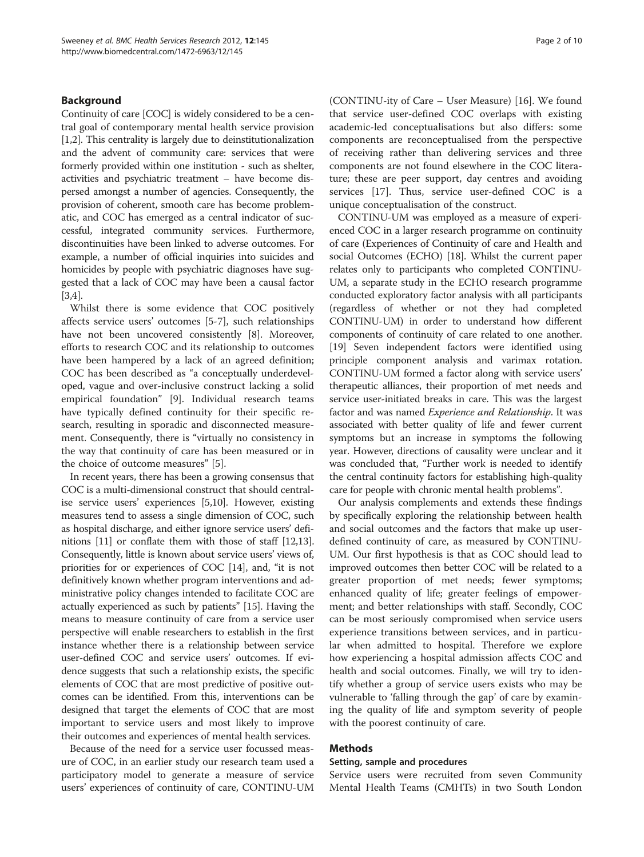## Background

Continuity of care [COC] is widely considered to be a central goal of contemporary mental health service provision [1,2]. This centrality is largely due to deinstitutionalization and the advent of community care: services that were formerly provided within one institution - such as shelter, activities and psychiatric treatment – have become dispersed amongst a number of agencies. Consequently, the provision of coherent, smooth care has become problematic, and COC has emerged as a central indicator of successful, integrated community services. Furthermore, discontinuities have been linked to adverse outcomes. For example, a number of official inquiries into suicides and homicides by people with psychiatric diagnoses have suggested that a lack of COC may have been a causal factor [3,4].

Whilst there is some evidence that COC positively affects service users' outcomes [5-7], such relationships have not been uncovered consistently [8]. Moreover, efforts to research COC and its relationship to outcomes have been hampered by a lack of an agreed definition; COC has been described as "a conceptually underdeveloped, vague and over-inclusive construct lacking a solid empirical foundation" [9]. Individual research teams have typically defined continuity for their specific research, resulting in sporadic and disconnected measurement. Consequently, there is "virtually no consistency in the way that continuity of care has been measured or in the choice of outcome measures" [5].

In recent years, there has been a growing consensus that COC is a multi-dimensional construct that should centralise service users' experiences [5,10]. However, existing measures tend to assess a single dimension of COC, such as hospital discharge, and either ignore service users' definitions [11] or conflate them with those of staff [12,13]. Consequently, little is known about service users' views of, priorities for or experiences of COC [14], and, "it is not definitively known whether program interventions and administrative policy changes intended to facilitate COC are actually experienced as such by patients" [15]. Having the means to measure continuity of care from a service user perspective will enable researchers to establish in the first instance whether there is a relationship between service user-defined COC and service users' outcomes. If evidence suggests that such a relationship exists, the specific elements of COC that are most predictive of positive outcomes can be identified. From this, interventions can be designed that target the elements of COC that are most important to service users and most likely to improve their outcomes and experiences of mental health services.

Because of the need for a service user focussed measure of COC, in an earlier study our research team used a participatory model to generate a measure of service users' experiences of continuity of care, CONTINU-UM

(CONTINU-ity of Care – User Measure) [16]. We found that service user-defined COC overlaps with existing academic-led conceptualisations but also differs: some components are reconceptualised from the perspective of receiving rather than delivering services and three components are not found elsewhere in the COC literature; these are peer support, day centres and avoiding services [17]. Thus, service user-defined COC is a unique conceptualisation of the construct.

CONTINU-UM was employed as a measure of experienced COC in a larger research programme on continuity of care (Experiences of Continuity of care and Health and social Outcomes (ECHO) [18]. Whilst the current paper relates only to participants who completed CONTINU-UM, a separate study in the ECHO research programme conducted exploratory factor analysis with all participants (regardless of whether or not they had completed CONTINU-UM) in order to understand how different components of continuity of care related to one another. [19] Seven independent factors were identified using principle component analysis and varimax rotation. CONTINU-UM formed a factor along with service users' therapeutic alliances, their proportion of met needs and service user-initiated breaks in care. This was the largest factor and was named Experience and Relationship. It was associated with better quality of life and fewer current symptoms but an increase in symptoms the following year. However, directions of causality were unclear and it was concluded that, "Further work is needed to identify the central continuity factors for establishing high-quality care for people with chronic mental health problems".

Our analysis complements and extends these findings by specifically exploring the relationship between health and social outcomes and the factors that make up userdefined continuity of care, as measured by CONTINU-UM. Our first hypothesis is that as COC should lead to improved outcomes then better COC will be related to a greater proportion of met needs; fewer symptoms; enhanced quality of life; greater feelings of empowerment; and better relationships with staff. Secondly, COC can be most seriously compromised when service users experience transitions between services, and in particular when admitted to hospital. Therefore we explore how experiencing a hospital admission affects COC and health and social outcomes. Finally, we will try to identify whether a group of service users exists who may be vulnerable to 'falling through the gap' of care by examining the quality of life and symptom severity of people with the poorest continuity of care.

#### Methods

#### Setting, sample and procedures

Service users were recruited from seven Community Mental Health Teams (CMHTs) in two South London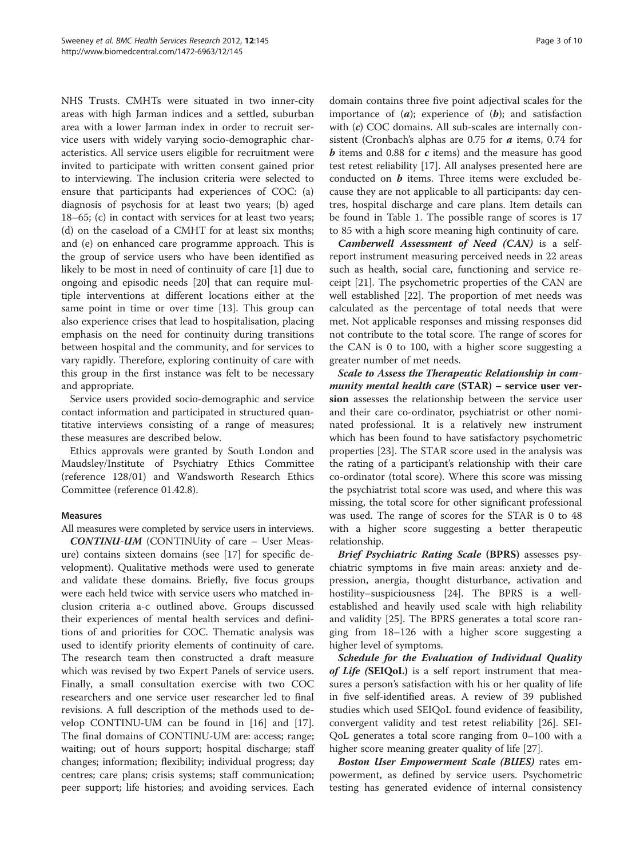NHS Trusts. CMHTs were situated in two inner-city areas with high Jarman indices and a settled, suburban area with a lower Jarman index in order to recruit service users with widely varying socio-demographic characteristics. All service users eligible for recruitment were invited to participate with written consent gained prior to interviewing. The inclusion criteria were selected to ensure that participants had experiences of COC: (a) diagnosis of psychosis for at least two years; (b) aged 18–65; (c) in contact with services for at least two years; (d) on the caseload of a CMHT for at least six months; and (e) on enhanced care programme approach. This is the group of service users who have been identified as likely to be most in need of continuity of care [1] due to ongoing and episodic needs [20] that can require multiple interventions at different locations either at the same point in time or over time [13]. This group can also experience crises that lead to hospitalisation, placing emphasis on the need for continuity during transitions between hospital and the community, and for services to vary rapidly. Therefore, exploring continuity of care with this group in the first instance was felt to be necessary and appropriate.

Service users provided socio-demographic and service contact information and participated in structured quantitative interviews consisting of a range of measures; these measures are described below.

Ethics approvals were granted by South London and Maudsley/Institute of Psychiatry Ethics Committee (reference 128/01) and Wandsworth Research Ethics Committee (reference 01.42.8).

# Measures

All measures were completed by service users in interviews.

CONTINU-UM (CONTINUity of care – User Measure) contains sixteen domains (see [17] for specific development). Qualitative methods were used to generate and validate these domains. Briefly, five focus groups were each held twice with service users who matched inclusion criteria a-c outlined above. Groups discussed their experiences of mental health services and definitions of and priorities for COC. Thematic analysis was used to identify priority elements of continuity of care. The research team then constructed a draft measure which was revised by two Expert Panels of service users. Finally, a small consultation exercise with two COC researchers and one service user researcher led to final revisions. A full description of the methods used to develop CONTINU-UM can be found in [16] and [17]. The final domains of CONTINU-UM are: access; range; waiting; out of hours support; hospital discharge; staff changes; information; flexibility; individual progress; day centres; care plans; crisis systems; staff communication; peer support; life histories; and avoiding services. Each

domain contains three five point adjectival scales for the importance of  $(a)$ ; experience of  $(b)$ ; and satisfaction with (c) COC domains. All sub-scales are internally consistent (Cronbach's alphas are 0.75 for  $a$  items, 0.74 for  **items and 0.88 for**  $**c**$  **items) and the measure has good** test retest reliability [17]. All analyses presented here are conducted on  $\bm{b}$  items. Three items were excluded because they are not applicable to all participants: day centres, hospital discharge and care plans. Item details can be found in Table 1. The possible range of scores is 17 to 85 with a high score meaning high continuity of care.

Camberwell Assessment of Need (CAN) is a selfreport instrument measuring perceived needs in 22 areas such as health, social care, functioning and service receipt [21]. The psychometric properties of the CAN are well established [22]. The proportion of met needs was calculated as the percentage of total needs that were met. Not applicable responses and missing responses did not contribute to the total score. The range of scores for the CAN is 0 to 100, with a higher score suggesting a greater number of met needs.

Scale to Assess the Therapeutic Relationship in community mental health care (STAR) – service user version assesses the relationship between the service user and their care co-ordinator, psychiatrist or other nominated professional. It is a relatively new instrument which has been found to have satisfactory psychometric properties [23]. The STAR score used in the analysis was the rating of a participant's relationship with their care co-ordinator (total score). Where this score was missing the psychiatrist total score was used, and where this was missing, the total score for other significant professional was used. The range of scores for the STAR is 0 to 48 with a higher score suggesting a better therapeutic relationship.

Brief Psychiatric Rating Scale (BPRS) assesses psychiatric symptoms in five main areas: anxiety and depression, anergia, thought disturbance, activation and hostility–suspiciousness [24]. The BPRS is a wellestablished and heavily used scale with high reliability and validity [25]. The BPRS generates a total score ranging from 18–126 with a higher score suggesting a higher level of symptoms.

Schedule for the Evaluation of Individual Quality of Life (SEIQoL) is a self report instrument that measures a person's satisfaction with his or her quality of life in five self-identified areas. A review of 39 published studies which used SEIQoL found evidence of feasibility, convergent validity and test retest reliability [26]. SEI-QoL generates a total score ranging from 0–100 with a higher score meaning greater quality of life [27].

Boston User Empowerment Scale (BUES) rates empowerment, as defined by service users. Psychometric testing has generated evidence of internal consistency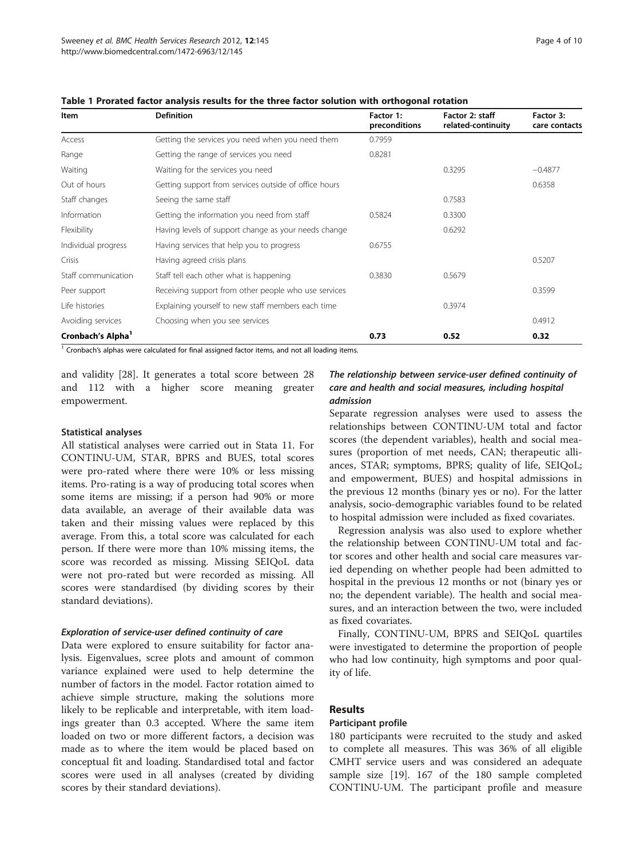| Item                          | <b>Definition</b>                                     | Factor 1:<br>preconditions | Factor 2: staff<br>related-continuity | Factor 3:<br>care contacts |
|-------------------------------|-------------------------------------------------------|----------------------------|---------------------------------------|----------------------------|
| Access                        | Getting the services you need when you need them      | 0.7959                     |                                       |                            |
| Range                         | Getting the range of services you need                | 0.8281                     |                                       |                            |
| Waiting                       | Waiting for the services you need                     |                            | 0.3295                                | $-0.4877$                  |
| Out of hours                  | Getting support from services outside of office hours |                            |                                       | 0.6358                     |
| Staff changes                 | Seeing the same staff                                 |                            | 0.7583                                |                            |
| Information                   | Getting the information you need from staff           | 0.5824                     | 0.3300                                |                            |
| Flexibility                   | Having levels of support change as your needs change  |                            | 0.6292                                |                            |
| Individual progress           | Having services that help you to progress             | 0.6755                     |                                       |                            |
| Crisis                        | Having agreed crisis plans                            |                            |                                       | 0.5207                     |
| Staff communication           | Staff tell each other what is happening               | 0.3830                     | 0.5679                                |                            |
| Peer support                  | Receiving support from other people who use services  |                            |                                       | 0.3599                     |
| Life histories                | Explaining yourself to new staff members each time    |                            | 0.3974                                |                            |
| Avoiding services             | Choosing when you see services                        |                            |                                       | 0.4912                     |
| Cronbach's Alpha <sup>1</sup> |                                                       | 0.73                       | 0.52                                  | 0.32                       |

Table 1 Prorated factor analysis results for the three factor solution with orthogonal rotation

 $1$  Cronbach's alphas were calculated for final assigned factor items, and not all loading items.

and validity [28]. It generates a total score between 28 and 112 with a higher score meaning greater empowerment.

#### Statistical analyses

All statistical analyses were carried out in Stata 11. For CONTINU-UM, STAR, BPRS and BUES, total scores were pro-rated where there were 10% or less missing items. Pro-rating is a way of producing total scores when some items are missing; if a person had 90% or more data available, an average of their available data was taken and their missing values were replaced by this average. From this, a total score was calculated for each person. If there were more than 10% missing items, the score was recorded as missing. Missing SEIQoL data were not pro-rated but were recorded as missing. All scores were standardised (by dividing scores by their standard deviations).

#### Exploration of service-user defined continuity of care

Data were explored to ensure suitability for factor analysis. Eigenvalues, scree plots and amount of common variance explained were used to help determine the number of factors in the model. Factor rotation aimed to achieve simple structure, making the solutions more likely to be replicable and interpretable, with item loadings greater than 0.3 accepted. Where the same item loaded on two or more different factors, a decision was made as to where the item would be placed based on conceptual fit and loading. Standardised total and factor scores were used in all analyses (created by dividing scores by their standard deviations).

# The relationship between service-user defined continuity of care and health and social measures, including hospital admission

Separate regression analyses were used to assess the relationships between CONTINU-UM total and factor scores (the dependent variables), health and social measures (proportion of met needs, CAN; therapeutic alliances, STAR; symptoms, BPRS; quality of life, SEIQoL; and empowerment, BUES) and hospital admissions in the previous 12 months (binary yes or no). For the latter analysis, socio-demographic variables found to be related to hospital admission were included as fixed covariates.

Regression analysis was also used to explore whether the relationship between CONTINU-UM total and factor scores and other health and social care measures varied depending on whether people had been admitted to hospital in the previous 12 months or not (binary yes or no; the dependent variable). The health and social measures, and an interaction between the two, were included as fixed covariates.

Finally, CONTINU-UM, BPRS and SEIQoL quartiles were investigated to determine the proportion of people who had low continuity, high symptoms and poor quality of life.

#### Results

# Participant profile

180 participants were recruited to the study and asked to complete all measures. This was 36% of all eligible CMHT service users and was considered an adequate sample size [19]. 167 of the 180 sample completed CONTINU-UM. The participant profile and measure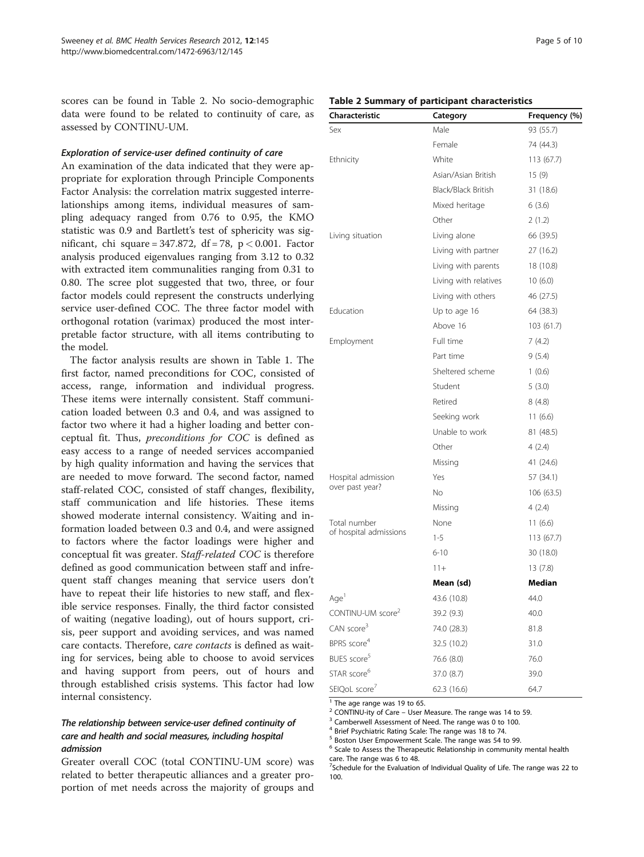scores can be found in Table 2. No socio-demographic data were found to be related to continuity of care, as assessed by CONTINU-UM.

#### Exploration of service-user defined continuity of care

An examination of the data indicated that they were appropriate for exploration through Principle Components Factor Analysis: the correlation matrix suggested interrelationships among items, individual measures of sampling adequacy ranged from 0.76 to 0.95, the KMO statistic was 0.9 and Bartlett's test of sphericity was significant, chi square = 347.872, df = 78,  $p < 0.001$ . Factor analysis produced eigenvalues ranging from 3.12 to 0.32 with extracted item communalities ranging from 0.31 to 0.80. The scree plot suggested that two, three, or four factor models could represent the constructs underlying service user-defined COC. The three factor model with orthogonal rotation (varimax) produced the most interpretable factor structure, with all items contributing to the model.

The factor analysis results are shown in Table 1. The first factor, named preconditions for COC, consisted of access, range, information and individual progress. These items were internally consistent. Staff communication loaded between 0.3 and 0.4, and was assigned to factor two where it had a higher loading and better conceptual fit. Thus, preconditions for COC is defined as easy access to a range of needed services accompanied by high quality information and having the services that are needed to move forward. The second factor, named staff-related COC, consisted of staff changes, flexibility, staff communication and life histories. These items showed moderate internal consistency. Waiting and information loaded between 0.3 and 0.4, and were assigned to factors where the factor loadings were higher and conceptual fit was greater. Staff-related COC is therefore defined as good communication between staff and infrequent staff changes meaning that service users don't have to repeat their life histories to new staff, and flexible service responses. Finally, the third factor consisted of waiting (negative loading), out of hours support, crisis, peer support and avoiding services, and was named care contacts. Therefore, care contacts is defined as waiting for services, being able to choose to avoid services and having support from peers, out of hours and through established crisis systems. This factor had low internal consistency.

# The relationship between service-user defined continuity of care and health and social measures, including hospital admission

Greater overall COC (total CONTINU-UM score) was related to better therapeutic alliances and a greater proportion of met needs across the majority of groups and

# Table 2 Summary of participant characteristics

| <b>Characteristic</b>         | Category              | Frequency (%) |  |
|-------------------------------|-----------------------|---------------|--|
| Sex                           | Male                  | 93 (55.7)     |  |
|                               | Female                | 74 (44.3)     |  |
| Ethnicity                     | White                 | 113 (67.7)    |  |
|                               | Asian/Asian British   | 15(9)         |  |
|                               | Black/Black British   | 31 (18.6)     |  |
|                               | Mixed heritage        | 6(3.6)        |  |
|                               | Other                 | 2(1.2)        |  |
| Living situation              | Living alone          | 66 (39.5)     |  |
|                               | Living with partner   | 27 (16.2)     |  |
|                               | Living with parents   | 18 (10.8)     |  |
|                               | Living with relatives | 10(6.0)       |  |
|                               | Living with others    | 46 (27.5)     |  |
| Education                     | Up to age 16          | 64 (38.3)     |  |
|                               | Above 16              | 103 (61.7)    |  |
| Employment                    | Full time             | 7 (4.2)       |  |
|                               | Part time             | 9(5.4)        |  |
|                               | Sheltered scheme      | 1(0.6)        |  |
|                               | Student               | 5(3.0)        |  |
|                               | Retired               | 8(4.8)        |  |
|                               | Seeking work          | 11(6.6)       |  |
|                               | Unable to work        | 81 (48.5)     |  |
|                               | Other                 | 4(2.4)        |  |
|                               | Missing               | 41 (24.6)     |  |
| Hospital admission            | Yes                   | 57 (34.1)     |  |
| over past year?               | No                    | 106 (63.5)    |  |
|                               | Missing               | 4(2.4)        |  |
| Total number                  | None                  | 11(6.6)       |  |
| of hospital admissions        | $1 - 5$               | 113 (67.7)    |  |
|                               | $6 - 10$              | 30 (18.0)     |  |
|                               | $11+$                 | 13(7.8)       |  |
|                               | Mean (sd)             | Median        |  |
| Age <sup>1</sup>              | 43.6 (10.8)           | 44.0          |  |
| CONTINU-UM score <sup>2</sup> | 39.2 (9.3)            | 40.0          |  |
| CAN score <sup>3</sup>        | 74.0 (28.3)           | 81.8          |  |
| BPRS score <sup>4</sup>       | 32.5 (10.2)           | 31.0          |  |
| BUES score <sup>5</sup>       | 76.6 (8.0)            | 76.0          |  |
| STAR score <sup>6</sup>       | 37.0 (8.7)            | 39.0          |  |
| SEIQoL score <sup>7</sup>     | 62.3 (16.6)           | 64.7          |  |

 $\overline{1}$  The age range was 19 to 65.

<sup>2</sup> CONTINU-ity of Care – User Measure. The range was 14 to 59.  $3$  Camberwell Assessment of Need. The range was 0 to 100.

<sup>4</sup> Brief Psychiatric Rating Scale: The range was 18 to 74.

<sup>5</sup> Boston User Empowerment Scale. The range was 54 to 99.

<sup>6</sup> Scale to Assess the Therapeutic Relationship in community mental health care. The range was 6 to 48.

<sup>7</sup>Schedule for the Evaluation of Individual Quality of Life. The range was 22 to 100.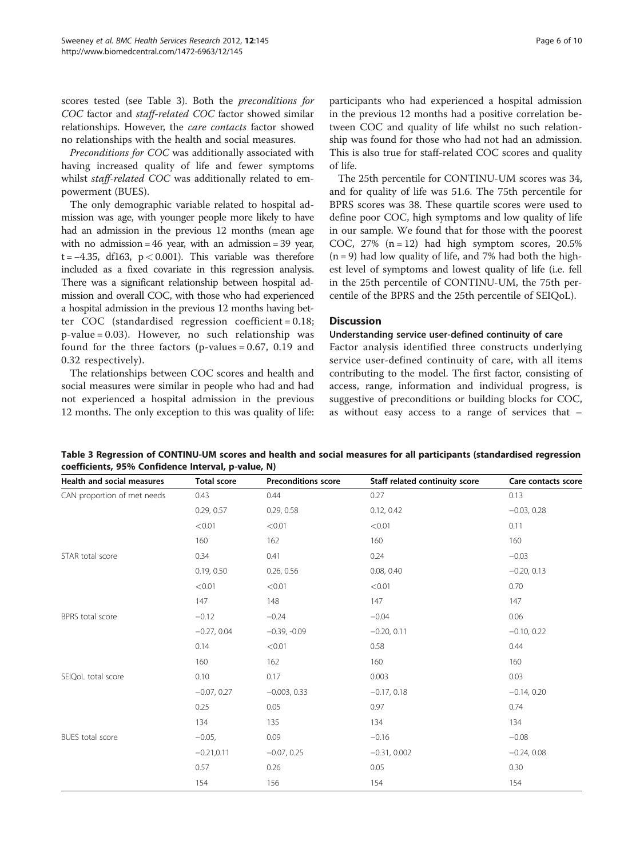scores tested (see Table 3). Both the preconditions for COC factor and staff-related COC factor showed similar relationships. However, the care contacts factor showed no relationships with the health and social measures.

Preconditions for COC was additionally associated with having increased quality of life and fewer symptoms whilst staff-related COC was additionally related to empowerment (BUES).

The only demographic variable related to hospital admission was age, with younger people more likely to have had an admission in the previous 12 months (mean age with no admission = 46 year, with an admission = 39 year, t =  $-4.35$ , df163, p < 0.001). This variable was therefore included as a fixed covariate in this regression analysis. There was a significant relationship between hospital admission and overall COC, with those who had experienced a hospital admission in the previous 12 months having better COC (standardised regression coefficient = 0.18; p-value = 0.03). However, no such relationship was found for the three factors (p-values  $= 0.67, 0.19$  and 0.32 respectively).

The relationships between COC scores and health and social measures were similar in people who had and had not experienced a hospital admission in the previous 12 months. The only exception to this was quality of life:

participants who had experienced a hospital admission in the previous 12 months had a positive correlation between COC and quality of life whilst no such relationship was found for those who had not had an admission. This is also true for staff-related COC scores and quality of life.

The 25th percentile for CONTINU-UM scores was 34, and for quality of life was 51.6. The 75th percentile for BPRS scores was 38. These quartile scores were used to define poor COC, high symptoms and low quality of life in our sample. We found that for those with the poorest COC,  $27\%$  (n = 12) had high symptom scores,  $20.5\%$  $(n = 9)$  had low quality of life, and 7% had both the highest level of symptoms and lowest quality of life (i.e. fell in the 25th percentile of CONTINU-UM, the 75th percentile of the BPRS and the 25th percentile of SEIQoL).

# **Discussion**

#### Understanding service user-defined continuity of care

Factor analysis identified three constructs underlying service user-defined continuity of care, with all items contributing to the model. The first factor, consisting of access, range, information and individual progress, is suggestive of preconditions or building blocks for COC, as without easy access to a range of services that –

| <b>Health and social measures</b> | <b>Total score</b> | <b>Preconditions score</b> | Staff related continuity score | Care contacts score |
|-----------------------------------|--------------------|----------------------------|--------------------------------|---------------------|
| CAN proportion of met needs       | 0.43               | 0.44                       | 0.27                           | 0.13                |
|                                   | 0.29, 0.57         | 0.29, 0.58                 | 0.12, 0.42                     | $-0.03, 0.28$       |
|                                   | < 0.01             | < 0.01                     | < 0.01                         | 0.11                |
|                                   | 160                | 162                        | 160                            | 160                 |
| STAR total score                  | 0.34               | 0.41                       | 0.24                           | $-0.03$             |
|                                   | 0.19, 0.50         | 0.26, 0.56                 | 0.08, 0.40                     | $-0.20, 0.13$       |
|                                   | < 0.01             | < 0.01                     | < 0.01                         | 0.70                |
|                                   | 147                | 148                        | 147                            | 147                 |
| BPRS total score                  | $-0.12$            | $-0.24$                    | $-0.04$                        | 0.06                |
|                                   | $-0.27, 0.04$      | $-0.39, -0.09$             | $-0.20, 0.11$                  | $-0.10, 0.22$       |
|                                   | 0.14               | < 0.01                     | 0.58                           | 0.44                |
|                                   | 160                | 162                        | 160                            | 160                 |
| SEIQoL total score                | 0.10               | 0.17                       | 0.003                          | 0.03                |
|                                   | $-0.07, 0.27$      | $-0.003, 0.33$             | $-0.17, 0.18$                  | $-0.14, 0.20$       |
|                                   | 0.25               | 0.05                       | 0.97                           | 0.74                |
|                                   | 134                | 135                        | 134                            | 134                 |
| BUES total score                  | $-0.05$ ,          | 0.09                       | $-0.16$                        | $-0.08$             |
|                                   | $-0.21, 0.11$      | $-0.07, 0.25$              | $-0.31, 0.002$                 | $-0.24, 0.08$       |
|                                   | 0.57               | 0.26                       | 0.05                           | 0.30                |
|                                   | 154                | 156                        | 154                            | 154                 |

Table 3 Regression of CONTINU-UM scores and health and social measures for all participants (standardised regression coefficients, 95% Confidence Interval, p-value, N)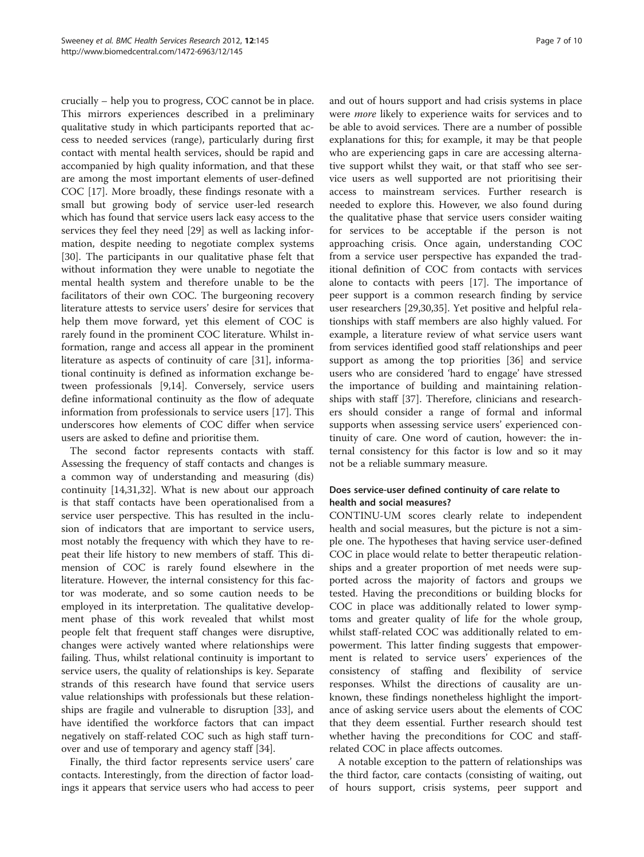crucially – help you to progress, COC cannot be in place. This mirrors experiences described in a preliminary qualitative study in which participants reported that access to needed services (range), particularly during first contact with mental health services, should be rapid and accompanied by high quality information, and that these are among the most important elements of user-defined COC [17]. More broadly, these findings resonate with a small but growing body of service user-led research which has found that service users lack easy access to the services they feel they need [29] as well as lacking information, despite needing to negotiate complex systems [30]. The participants in our qualitative phase felt that without information they were unable to negotiate the mental health system and therefore unable to be the facilitators of their own COC. The burgeoning recovery literature attests to service users' desire for services that help them move forward, yet this element of COC is rarely found in the prominent COC literature. Whilst information, range and access all appear in the prominent literature as aspects of continuity of care [31], informational continuity is defined as information exchange between professionals [9,14]. Conversely, service users define informational continuity as the flow of adequate information from professionals to service users [17]. This underscores how elements of COC differ when service users are asked to define and prioritise them.

The second factor represents contacts with staff. Assessing the frequency of staff contacts and changes is a common way of understanding and measuring (dis) continuity [14,31,32]. What is new about our approach is that staff contacts have been operationalised from a service user perspective. This has resulted in the inclusion of indicators that are important to service users, most notably the frequency with which they have to repeat their life history to new members of staff. This dimension of COC is rarely found elsewhere in the literature. However, the internal consistency for this factor was moderate, and so some caution needs to be employed in its interpretation. The qualitative development phase of this work revealed that whilst most people felt that frequent staff changes were disruptive, changes were actively wanted where relationships were failing. Thus, whilst relational continuity is important to service users, the quality of relationships is key. Separate strands of this research have found that service users value relationships with professionals but these relationships are fragile and vulnerable to disruption [33], and have identified the workforce factors that can impact negatively on staff-related COC such as high staff turnover and use of temporary and agency staff [34].

Finally, the third factor represents service users' care contacts. Interestingly, from the direction of factor loadings it appears that service users who had access to peer

and out of hours support and had crisis systems in place were more likely to experience waits for services and to be able to avoid services. There are a number of possible explanations for this; for example, it may be that people who are experiencing gaps in care are accessing alternative support whilst they wait, or that staff who see service users as well supported are not prioritising their access to mainstream services. Further research is needed to explore this. However, we also found during the qualitative phase that service users consider waiting for services to be acceptable if the person is not approaching crisis. Once again, understanding COC from a service user perspective has expanded the traditional definition of COC from contacts with services alone to contacts with peers [17]. The importance of peer support is a common research finding by service user researchers [29,30,35]. Yet positive and helpful relationships with staff members are also highly valued. For example, a literature review of what service users want from services identified good staff relationships and peer support as among the top priorities [36] and service users who are considered 'hard to engage' have stressed the importance of building and maintaining relationships with staff [37]. Therefore, clinicians and researchers should consider a range of formal and informal supports when assessing service users' experienced continuity of care. One word of caution, however: the internal consistency for this factor is low and so it may not be a reliable summary measure.

# Does service-user defined continuity of care relate to health and social measures?

CONTINU-UM scores clearly relate to independent health and social measures, but the picture is not a simple one. The hypotheses that having service user-defined COC in place would relate to better therapeutic relationships and a greater proportion of met needs were supported across the majority of factors and groups we tested. Having the preconditions or building blocks for COC in place was additionally related to lower symptoms and greater quality of life for the whole group, whilst staff-related COC was additionally related to empowerment. This latter finding suggests that empowerment is related to service users' experiences of the consistency of staffing and flexibility of service responses. Whilst the directions of causality are unknown, these findings nonetheless highlight the importance of asking service users about the elements of COC that they deem essential. Further research should test whether having the preconditions for COC and staffrelated COC in place affects outcomes.

A notable exception to the pattern of relationships was the third factor, care contacts (consisting of waiting, out of hours support, crisis systems, peer support and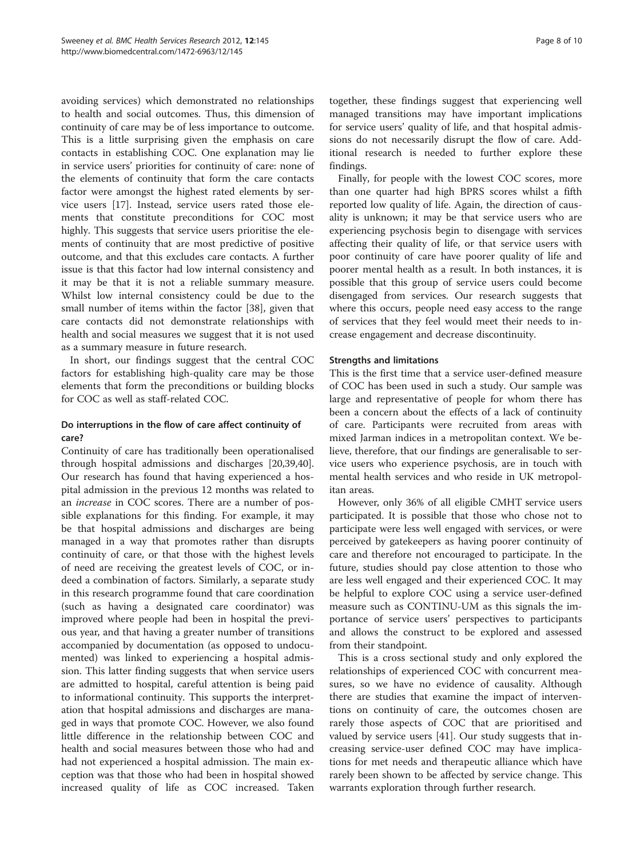avoiding services) which demonstrated no relationships to health and social outcomes. Thus, this dimension of continuity of care may be of less importance to outcome. This is a little surprising given the emphasis on care contacts in establishing COC. One explanation may lie in service users' priorities for continuity of care: none of the elements of continuity that form the care contacts factor were amongst the highest rated elements by service users [17]. Instead, service users rated those elements that constitute preconditions for COC most highly. This suggests that service users prioritise the elements of continuity that are most predictive of positive outcome, and that this excludes care contacts. A further issue is that this factor had low internal consistency and it may be that it is not a reliable summary measure. Whilst low internal consistency could be due to the small number of items within the factor [38], given that care contacts did not demonstrate relationships with health and social measures we suggest that it is not used as a summary measure in future research.

In short, our findings suggest that the central COC factors for establishing high-quality care may be those elements that form the preconditions or building blocks for COC as well as staff-related COC.

# Do interruptions in the flow of care affect continuity of care?

Continuity of care has traditionally been operationalised through hospital admissions and discharges [20,39,40]. Our research has found that having experienced a hospital admission in the previous 12 months was related to an increase in COC scores. There are a number of possible explanations for this finding. For example, it may be that hospital admissions and discharges are being managed in a way that promotes rather than disrupts continuity of care, or that those with the highest levels of need are receiving the greatest levels of COC, or indeed a combination of factors. Similarly, a separate study in this research programme found that care coordination (such as having a designated care coordinator) was improved where people had been in hospital the previous year, and that having a greater number of transitions accompanied by documentation (as opposed to undocumented) was linked to experiencing a hospital admission. This latter finding suggests that when service users are admitted to hospital, careful attention is being paid to informational continuity. This supports the interpretation that hospital admissions and discharges are managed in ways that promote COC. However, we also found little difference in the relationship between COC and health and social measures between those who had and had not experienced a hospital admission. The main exception was that those who had been in hospital showed increased quality of life as COC increased. Taken

together, these findings suggest that experiencing well managed transitions may have important implications for service users' quality of life, and that hospital admissions do not necessarily disrupt the flow of care. Additional research is needed to further explore these findings.

Finally, for people with the lowest COC scores, more than one quarter had high BPRS scores whilst a fifth reported low quality of life. Again, the direction of causality is unknown; it may be that service users who are experiencing psychosis begin to disengage with services affecting their quality of life, or that service users with poor continuity of care have poorer quality of life and poorer mental health as a result. In both instances, it is possible that this group of service users could become disengaged from services. Our research suggests that where this occurs, people need easy access to the range of services that they feel would meet their needs to increase engagement and decrease discontinuity.

# Strengths and limitations

This is the first time that a service user-defined measure of COC has been used in such a study. Our sample was large and representative of people for whom there has been a concern about the effects of a lack of continuity of care. Participants were recruited from areas with mixed Jarman indices in a metropolitan context. We believe, therefore, that our findings are generalisable to service users who experience psychosis, are in touch with mental health services and who reside in UK metropolitan areas.

However, only 36% of all eligible CMHT service users participated. It is possible that those who chose not to participate were less well engaged with services, or were perceived by gatekeepers as having poorer continuity of care and therefore not encouraged to participate. In the future, studies should pay close attention to those who are less well engaged and their experienced COC. It may be helpful to explore COC using a service user-defined measure such as CONTINU-UM as this signals the importance of service users' perspectives to participants and allows the construct to be explored and assessed from their standpoint.

This is a cross sectional study and only explored the relationships of experienced COC with concurrent measures, so we have no evidence of causality. Although there are studies that examine the impact of interventions on continuity of care, the outcomes chosen are rarely those aspects of COC that are prioritised and valued by service users [41]. Our study suggests that increasing service-user defined COC may have implications for met needs and therapeutic alliance which have rarely been shown to be affected by service change. This warrants exploration through further research.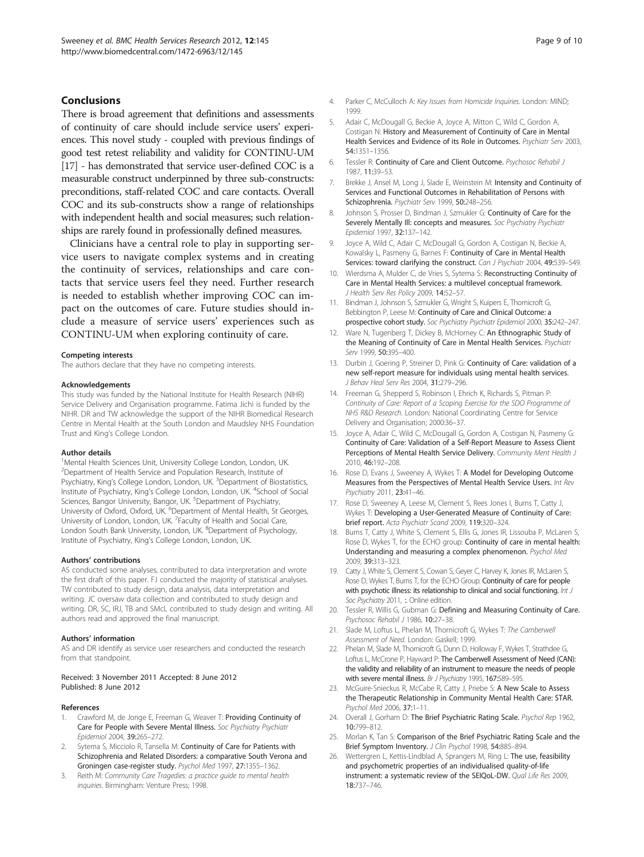### Conclusions

There is broad agreement that definitions and assessments of continuity of care should include service users' experiences. This novel study - coupled with previous findings of good test retest reliability and validity for CONTINU-UM [17] - has demonstrated that service user-defined COC is a measurable construct underpinned by three sub-constructs: preconditions, staff-related COC and care contacts. Overall COC and its sub-constructs show a range of relationships with independent health and social measures; such relationships are rarely found in professionally defined measures.

Clinicians have a central role to play in supporting service users to navigate complex systems and in creating the continuity of services, relationships and care contacts that service users feel they need. Further research is needed to establish whether improving COC can impact on the outcomes of care. Future studies should include a measure of service users' experiences such as CONTINU-UM when exploring continuity of care.

#### Competing interests

The authors declare that they have no competing interests.

#### Acknowledgements

This study was funded by the National Institute for Health Research (NIHR) Service Delivery and Organisation programme. Fatima Jichi is funded by the NIHR. DR and TW acknowledge the support of the NIHR Biomedical Research Centre in Mental Health at the South London and Maudsley NHS Foundation Trust and King's College London.

#### Author details

<sup>1</sup>Mental Health Sciences Unit, University College London, London, UK. <sup>2</sup>Department of Health Service and Population Research, Institute of Psychiatry, King's College London, London, UK.<sup>3</sup> Department of Biostatistics, Institute of Psychiatry, King's College London, London, UK. <sup>4</sup>School of Social Sciences, Bangor University, Bangor, UK. <sup>5</sup>Department of Psychiatry, University of Oxford, Oxford, UK. <sup>6</sup>Department of Mental Health, St Georges, University of London, London, UK. <sup>7</sup> Faculty of Health and Social Care, London South Bank University, London, UK. <sup>8</sup>Department of Psychology, Institute of Psychiatry, King's College London, London, UK.

#### Authors' contributions

AS conducted some analyses, contributed to data interpretation and wrote the first draft of this paper. FJ conducted the majority of statistical analyses. TW contributed to study design, data analysis, data interpretation and writing. JC oversaw data collection and contributed to study design and writing. DR, SC, IRJ, TB and SMcL contributed to study design and writing. All authors read and approved the final manuscript.

#### Authors' information

AS and DR identify as service user researchers and conducted the research from that standpoint.

#### Received: 3 November 2011 Accepted: 8 June 2012 Published: 8 June 2012

#### References

- Crawford M, de Jonge E, Freeman G, Weaver T: Providing Continuity of Care for People with Severe Mental Illness. Soc Psychiatry Psychiatr Epidemiol 2004, 39:265–272.
- Sytema S, Micciolo R, Tansella M: Continuity of Care for Patients with Schizophrenia and Related Disorders: a comparative South Verona and Groningen case-register study. Psychol Med 1997, 27:1355–1362.
- 3. Reith M: Community Care Tragedies: a practice guide to mental health inquiries. Birmingham: Venture Press; 1998.
- 4. Parker C, McCulloch A: Key Issues from Homicide Inquiries. London: MIND; 1999.
- 5. Adair C, McDougall G, Beckie A, Joyce A, Mitton C, Wild C, Gordon A, Costigan N: History and Measurement of Continuity of Care in Mental Health Services and Evidence of its Role in Outcomes. Psychiatr Serv 2003, 54:1351–1356.
- 6. Tessler R: Continuity of Care and Client Outcome. Psychosoc Rehabil J 1987, 11:39–53.
- 7. Brekke J, Ansel M, Long J, Slade E, Weinstein M: Intensity and Continuity of Services and Functional Outcomes in Rehabilitation of Persons with Schizophrenia. Psychiatr Serv 1999, 50:248-256.
- 8. Johnson S, Prosser D, Bindman J, Szmukler G: Continuity of Care for the Severely Mentally III: concepts and measures. Soc Psychiatry Psychiatr Epidemiol 1997, 32:137–142.
- 9. Joyce A, Wild C, Adair C, McDougall G, Gordon A, Costigan N, Beckie A, Kowalsky L, Pasmeny G, Barnes F: Continuity of Care in Mental Health Services: toward clarifying the construct. Can J Psychiatr 2004, 49:539-549.
- 10. Wierdsma A, Mulder C, de Vries S, Sytema S: Reconstructing Continuity of Care in Mental Health Services: a multilevel conceptual framework. J Health Serv Res Policy 2009, 14:52–57.
- 11. Bindman J, Johnson S, Szmukler G, Wright S, Kuipers E, Thornicroft G, Bebbington P, Leese M: Continuity of Care and Clinical Outcome: a prospective cohort study. Soc Psychiatry Psychiatr Epidemiol 2000, 35:242–247.
- 12. Ware N, Tugenberg T, Dickey B, McHorney C: An Ethnographic Study of the Meaning of Continuity of Care in Mental Health Services. Psychiatr Serv 1999, 50:395–400.
- 13. Durbin J, Goering P, Streiner D, Pink G: Continuity of Care: validation of a new self-report measure for individuals using mental health services. J Behav Heal Serv Res 2004, 31:279-296.
- 14. Freeman G, Shepperd S, Robinson I, Ehrich K, Richards S, Pitman P: Continuity of Care: Report of a Scoping Exercise for the SDO Programme of NHS R&D Research. London: National Coordinating Centre for Service Delivery and Organisation; 2000:36–37.
- 15. Joyce A, Adair C, Wild C, McDougall G, Gordon A, Costigan N, Pasmeny G: Continuity of Care: Validation of a Self-Report Measure to Assess Client Perceptions of Mental Health Service Delivery. Community Ment Health J 2010, 46:192–208.
- 16. Rose D, Evans J, Sweeney A, Wykes T: A Model for Developing Outcome Measures from the Perspectives of Mental Health Service Users. Int Rev Psychiatry 2011, 23:41–46.
- 17. Rose D, Sweeney A, Leese M, Clement S, Rees Jones I, Burns T, Catty J, Wykes T: Developing a User-Generated Measure of Continuity of Care: brief report. Acta Psychiatr Scand 2009, 119:320–324.
- 18. Burns T, Catty J, White S, Clement S, Ellis G, Jones IR, Lissouba P, McLaren S, Rose D, Wykes T, for the ECHO group: Continuity of care in mental health: Understanding and measuring a complex phenomenon. Psychol Med 2009, 39:313–323.
- 19. Catty J, White S, Clement S, Cowan S, Geyer C, Harvey K, Jones IR, McLaren S, Rose D, Wykes T, Burns T, for the ECHO Group: Continuity of care for people with psychotic illness: its relationship to clinical and social functioning. Int J Soc Psychiatry 2011, : Online edition.
- 20. Tessler R, Willis G, Gubman G: Defining and Measuring Continuity of Care. Psychosoc Rehabil J 1986, 10:27–38.
- 21. Slade M, Loftus L, Phelan M, Thornicroft G, Wykes T: The Camberwell Assessment of Need. London: Gaskell; 1999.
- 22. Phelan M, Slade M, Thornicroft G, Dunn D, Holloway F, Wykes T, Strathdee G, Loftus L, McCrone P, Hayward P: The Camberwell Assessment of Need (CAN): the validity and reliability of an instrument to measure the needs of people with severe mental illness. Br J Psychiatry 1995, 167:589-595.
- 23. McGuire-Snieckus R, McCabe R, Catty J, Priebe S: A New Scale to Assess the Therapeutic Relationship in Community Mental Health Care: STAR. Psychol Med 2006, 37:1–11.
- 24. Overall J, Gorham D: The Brief Psychiatric Rating Scale. Psychol Rep 1962, 10:799–812.
- Morlan K, Tan S: Comparison of the Brief Psychiatric Rating Scale and the Brief Symptom Inventory. J Clin Psychol 1998, 54:885-894.
- 26. Wettergren L, Kettis-Lindblad A, Sprangers M, Ring L: The use, feasibility and psychometric properties of an individualised quality-of-life instrument: a systematic review of the SEIQoL-DW. Qual Life Res 2009, 18:737–746.